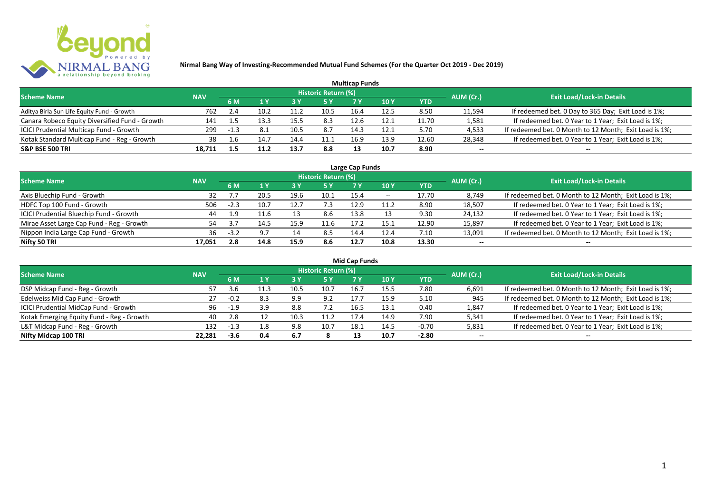

|                                                |            |        |     |      |                            | <b>Multicap Funds</b> |                 |            |           |                                                        |
|------------------------------------------------|------------|--------|-----|------|----------------------------|-----------------------|-----------------|------------|-----------|--------------------------------------------------------|
| <b>Scheme Name</b>                             | <b>NAV</b> |        |     |      | <b>Historic Return (%)</b> |                       |                 |            | AUM (Cr.) | <b>Exit Load/Lock-in Details</b>                       |
|                                                |            | 6 M    |     | 73 Y |                            |                       | 10 <sub>Y</sub> | <b>YTD</b> |           |                                                        |
| Aditya Birla Sun Life Equity Fund - Growth     | 762        | 2.4    | 10. | 11.2 | 10.5                       | 16.4                  | 12.5            | 8.50       | 11,594    | If redeemed bet. 0 Day to 365 Day; Exit Load is 1%;    |
| Canara Robeco Equity Diversified Fund - Growth | 141        |        |     | 15.5 | 8.3                        | 12.6                  | 12.1            | 11.70      | 1,581     | If redeemed bet. 0 Year to 1 Year; Exit Load is 1%;    |
| ICICI Prudential Multicap Fund - Growth        | 299        | $-1.3$ |     | 10.5 | 8.7                        | 14.3                  | 12.1            | 5.70       | 4,533     | If redeemed bet. 0 Month to 12 Month; Exit Load is 1%; |
| Kotak Standard Multicap Fund - Reg - Growth    | 38         | 1.6    | 14. | 14.4 | 11.1                       | 16.9                  | 13.9            | 12.60      | 28,348    | If redeemed bet. 0 Year to 1 Year; Exit Load is 1%;    |
| <b>S&amp;P BSE 500 TRI</b>                     | 18,711     |        |     | 13.7 | 8.8                        | 13                    | 10.7            | 8.90       | $- -$     | --                                                     |

| Large Cap Funds                           |            |        |      |      |                            |      |            |       |           |                                                        |  |  |  |
|-------------------------------------------|------------|--------|------|------|----------------------------|------|------------|-------|-----------|--------------------------------------------------------|--|--|--|
| <b>Scheme Name</b>                        | <b>NAV</b> |        |      |      | <b>Historic Return (%)</b> |      |            |       | AUM (Cr.) | <b>Exit Load/Lock-in Details</b>                       |  |  |  |
|                                           |            | 6 M    |      |      | 5 Y                        |      | <b>10Y</b> | YTD   |           |                                                        |  |  |  |
| Axis Bluechip Fund - Growth               | 32         |        | 20.5 | 19.6 | 10.1                       | 15.4 | $- -$      | 17.70 | 8,749     | If redeemed bet. 0 Month to 12 Month; Exit Load is 1%; |  |  |  |
| HDFC Top 100 Fund - Growth                | 506        | $-2.3$ | 10.7 | 12.7 | 7.3                        | 12.9 | 11.2       | 8.90  | 18,507    | If redeemed bet. 0 Year to 1 Year; Exit Load is 1%;    |  |  |  |
| ICICI Prudential Bluechip Fund - Growth   | 44         | 1.9    | 11.6 |      | 8.6                        | 13.8 |            | 9.30  | 24,132    | If redeemed bet. 0 Year to 1 Year; Exit Load is 1%;    |  |  |  |
| Mirae Asset Large Cap Fund - Reg - Growth | 54         |        | 14.5 | 15.9 | 11.6                       | 17.2 | 15.1       | 12.90 | 15,897    | If redeemed bet. 0 Year to 1 Year; Exit Load is 1%;    |  |  |  |
| Nippon India Large Cap Fund - Growth      | 36         | $-3.2$ | 9.7  |      | 8.5                        | 14.4 | 12.4       | 7.10  | 13,091    | If redeemed bet. 0 Month to 12 Month; Exit Load is 1%; |  |  |  |
| Nifty 50 TRI                              | 17.051     | 2.8    | 14.8 | 15.9 | 8.6                        | 12.7 | 10.8       | 13.30 | $- -$     | $- -$                                                  |  |  |  |

| <b>Mid Cap Funds</b>                      |            |        |     |       |                            |      |      |            |           |                                                        |  |  |  |
|-------------------------------------------|------------|--------|-----|-------|----------------------------|------|------|------------|-----------|--------------------------------------------------------|--|--|--|
| <b>Scheme Name</b>                        | <b>NAV</b> |        |     |       | <b>Historic Return (%)</b> |      |      |            | AUM (Cr.) | <b>Exit Load/Lock-in Details</b>                       |  |  |  |
|                                           |            | 6 M    |     |       | 5 Y                        | 7 Y  | 10 Y | <b>YTD</b> |           |                                                        |  |  |  |
| DSP Midcap Fund - Reg - Growth            | 57         | .3.b   |     | -10.5 | 10.7                       | 16.7 | 15.5 | 7.80       | 6,691     | If redeemed bet. 0 Month to 12 Month; Exit Load is 1%; |  |  |  |
| Edelweiss Mid Cap Fund - Growth           | 27         | $-0.2$ | 8.3 | 9.9   | 9.2                        | 17.7 | 15.9 | 5.10       | 945       | If redeemed bet. 0 Month to 12 Month; Exit Load is 1%; |  |  |  |
| ICICI Prudential MidCap Fund - Growth     | 96         | $-1.9$ | 3.9 | 8.8   | 7.2                        | 16.5 | 13.1 | 0.40       | 1,847     | If redeemed bet. 0 Year to 1 Year; Exit Load is 1%;    |  |  |  |
| Kotak Emerging Equity Fund - Reg - Growth | 40         | 2.8    |     | 10.3  | 11.2                       | 17.4 | 14.9 | 7.90       | 5,341     | If redeemed bet. 0 Year to 1 Year; Exit Load is 1%;    |  |  |  |
| L&T Midcap Fund - Reg - Growth            | 132        | 1.3    | 1.8 | 9.8   | 10.7                       | 18.1 | 14.5 | -0.70      | 5,831     | If redeemed bet. 0 Year to 1 Year; Exit Load is 1%;    |  |  |  |
| Nifty Midcap 100 TRI                      | 22.281     | $-3.6$ | 0.4 | 6.7   |                            |      | 10.7 | $-2.80$    | $- -$     | --                                                     |  |  |  |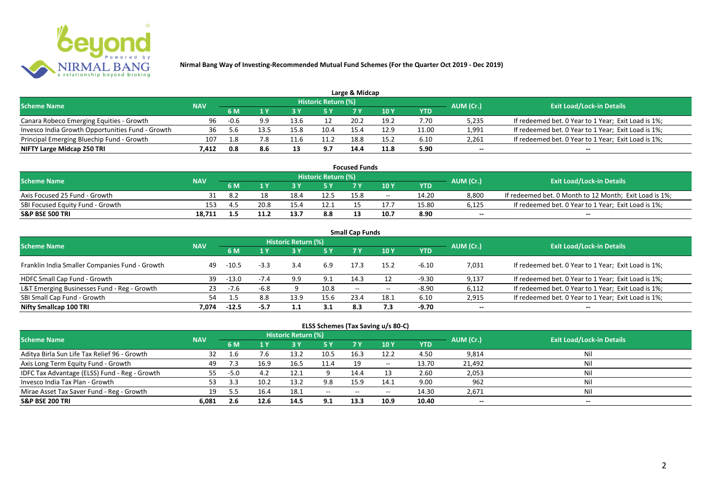

|                                                  |            |        |     |      |                            | Large & Midcap |            |       |           |                                                     |
|--------------------------------------------------|------------|--------|-----|------|----------------------------|----------------|------------|-------|-----------|-----------------------------------------------------|
| <b>Scheme Name</b>                               | <b>NAV</b> |        |     |      | <b>Historic Return (%)</b> |                |            |       | AUM (Cr.) | <b>Exit Load/Lock-in Details</b>                    |
|                                                  |            | 6 M    |     |      | 5 Y                        |                | <b>10Y</b> | YTD   |           |                                                     |
| Canara Robeco Emerging Equities - Growth         | 96         | $-0.6$ | 9.9 | 13.6 |                            | 20.2           | 19.2       | 7.70  | 5,235     | If redeemed bet. 0 Year to 1 Year; Exit Load is 1%; |
| Invesco India Growth Opportunities Fund - Growth | 36         |        |     | 15.8 | 10.4                       | 15.4           | 12.9       | 11.00 | 1,991     | If redeemed bet. 0 Year to 1 Year; Exit Load is 1%; |
| Principal Emerging Bluechip Fund - Growth        | 107        | -1.8   | 7.8 |      | 11.2                       | 18.8           | 15.2       | 6.10  | 2,261     | If redeemed bet. 0 Year to 1 Year; Exit Load is 1%; |
| NIFTY Large Midcap 250 TRI                       | 7.412      | 0.8    | 8.6 |      | 9.7                        | 14.4           | 11.8       | 5.90  | $-$       | $- -$                                               |

| <b>Focused Funds</b>             |            |     |      |      |                     |      |       |       |           |                                                        |  |  |
|----------------------------------|------------|-----|------|------|---------------------|------|-------|-------|-----------|--------------------------------------------------------|--|--|
| <b>Scheme Name</b>               | <b>NAV</b> |     |      |      | Historic Return (%) |      |       |       | AUM (Cr.) | <b>Exit Load/Lock-in Details</b>                       |  |  |
|                                  |            | 6 M |      |      | 5 Y                 |      |       | YTD   |           |                                                        |  |  |
| Axis Focused 25 Fund - Growth    |            | 8.2 |      | 18.4 | 12.5                | 15.8 | $- -$ | 14.20 | 8,800     | If redeemed bet. 0 Month to 12 Month; Exit Load is 1%; |  |  |
| SBI Focused Equity Fund - Growth | 153        | 4 F | 20.8 | 15.4 | 12.1                |      |       | 15.80 | 6,125     | If redeemed bet. 0 Year to 1 Year; Exit Load is 1%;    |  |  |
| <b>S&amp;P BSE 500 TRI</b>       | 18.711     |     |      | 13.7 | 8.8                 |      | 10.7  | 8.90  | $-$       | $- -$                                                  |  |  |

| <b>Small Cap Funds</b>                         |            |         |        |                            |      |                          |            |            |           |                                                     |  |  |  |
|------------------------------------------------|------------|---------|--------|----------------------------|------|--------------------------|------------|------------|-----------|-----------------------------------------------------|--|--|--|
| <b>Scheme Name</b>                             | <b>NAV</b> |         |        | <b>Historic Return (%)</b> |      |                          |            |            | AUM (Cr.) | <b>Exit Load/Lock-in Details</b>                    |  |  |  |
|                                                |            | 6 M     |        |                            | 5 Y  | 7V                       | <b>10Y</b> | <b>YTD</b> |           |                                                     |  |  |  |
| Franklin India Smaller Companies Fund - Growth | 49         | $-10.5$ | $-3.3$ | 3.4                        | 6.9  | 17.3                     | 15.2       | $-6.10$    | 7,031     | If redeemed bet. 0 Year to 1 Year; Exit Load is 1%; |  |  |  |
| HDFC Small Cap Fund - Growth                   | 39         | $-13.0$ |        | 9.9                        | 9.1  | 14.3                     |            | $-9.30$    | 9,137     | If redeemed bet. 0 Year to 1 Year; Exit Load is 1%; |  |  |  |
| L&T Emerging Businesses Fund - Reg - Growth    | 23         | $-7.6$  | -6.8   |                            | 10.8 | $\overline{\phantom{a}}$ | $- -$      | $-8.90$    | 6,112     | If redeemed bet. 0 Year to 1 Year; Exit Load is 1%; |  |  |  |
| SBI Small Cap Fund - Growth                    | 54         |         | 8.8    | 13.9                       | 15.6 | 23.4                     | 18.1       | 6.10       | 2,915     | If redeemed bet. 0 Year to 1 Year; Exit Load is 1%; |  |  |  |
| Nifty Smallcap 100 TRI                         | 7.074      | $-12.5$ | -5.7   |                            |      | 8.3                      | 7.3        | -9.70      | $- -$     | $- -$                                               |  |  |  |

## **ELSS Schemes (Tax Saving u/s 80-C)**

| <b>Scheme Name</b>                            | <b>NAV</b> |        |      | Historic Return (%) |            |       |                          |       | AUM (Cr.) | <b>Exit Load/Lock-in Details</b> |
|-----------------------------------------------|------------|--------|------|---------------------|------------|-------|--------------------------|-------|-----------|----------------------------------|
|                                               |            | 6 M    |      |                     | <b>5 Y</b> | 7 Y   | <b>10Y</b>               | YTD   |           |                                  |
| Aditya Birla Sun Life Tax Relief 96 - Growth  | 32         |        | 7.6  | 13.2                | 10.5       | 16.3  | 12.2                     | 4.50  | 9,814     | Nil                              |
| Axis Long Term Equity Fund - Growth           | 49         |        | 16.9 | 16.5                | 11.4       | 19    | $\overline{\phantom{a}}$ | 13.70 | 21,492    | Nil                              |
| IDFC Tax Advantage (ELSS) Fund - Reg - Growth | 55         | $-5.0$ |      | 12.1                |            | 14.4  |                          | 2.60  | 2,053     | Nil                              |
| Invesco India Tax Plan - Growth               |            |        | 10.2 | 13.2                | 9.8        | 15.9  | 14.1                     | 9.00  | 962       | Nil                              |
| Mirae Asset Tax Saver Fund - Reg - Growth     | 19         |        | 16.4 | 18.1                | $  \,$     | $- -$ | $- -$                    | 14.30 | 2,671     | Nil                              |
| <b>S&amp;P BSE 200 TRI</b>                    | 6.081      | 2.6    | 12.6 | 14.5                | 9.1        | 13.3  | 10.9                     | 10.40 | $- -$     | $- -$                            |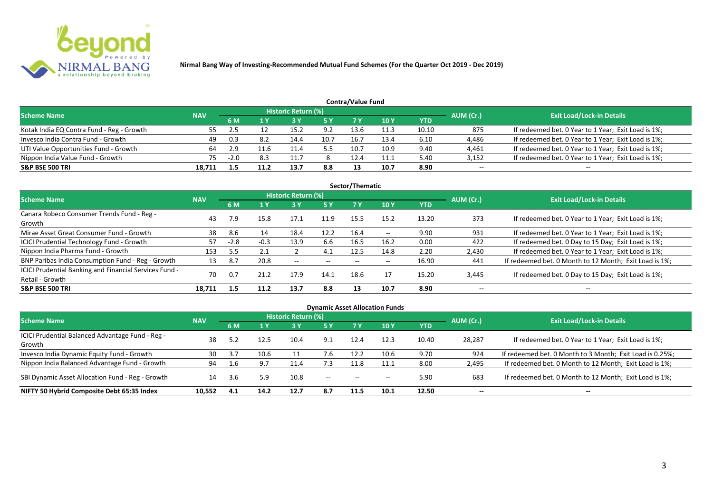

|                                           | Contra/Value Fund |        |      |                            |            |      |                 |       |           |                                                     |  |  |  |  |
|-------------------------------------------|-------------------|--------|------|----------------------------|------------|------|-----------------|-------|-----------|-----------------------------------------------------|--|--|--|--|
| <b>Scheme Name</b>                        | <b>NAV</b>        |        |      | <b>Historic Return (%)</b> |            |      |                 |       | AUM (Cr.) | <b>Exit Load/Lock-in Details</b>                    |  |  |  |  |
|                                           |                   | 6 M    |      |                            | <b>5 Y</b> | 7 V  | 10 <sub>V</sub> | YTD   |           |                                                     |  |  |  |  |
| Kotak India EQ Contra Fund - Reg - Growth | 55.               |        |      | 15.2                       | 9.2        | 13.6 | 11.3            | 10.10 | 875       | If redeemed bet. 0 Year to 1 Year; Exit Load is 1%; |  |  |  |  |
| Invesco India Contra Fund - Growth        | 49                | 0.3    | 8.2  | 14.4                       | 10.7       | 16.  | 13.4            | 6.10  | 4,486     | If redeemed bet. 0 Year to 1 Year; Exit Load is 1%; |  |  |  |  |
| UTI Value Opportunities Fund - Growth     | 64                |        | .1.6 |                            | 5.5        | 10.7 | 10.9            | 9.40  | 4,461     | If redeemed bet. 0 Year to 1 Year; Exit Load is 1%; |  |  |  |  |
| Nippon India Value Fund - Growth          | 75.               | $-2.0$ | 8.3  |                            |            | 12.4 | 11.1            | 5.40  | 3,152     | If redeemed bet. 0 Year to 1 Year; Exit Load is 1%; |  |  |  |  |
| <b>S&amp;P BSE 500 TRI</b>                | 18.711            |        |      | 13.7                       | 8.8        |      | 10.7            | 8.90  | $- -$     | $- -$                                               |  |  |  |  |

| Sector/Thematic                                                           |            |        |        |                            |           |      |       |            |           |                                                        |  |  |  |  |
|---------------------------------------------------------------------------|------------|--------|--------|----------------------------|-----------|------|-------|------------|-----------|--------------------------------------------------------|--|--|--|--|
| Scheme Name                                                               | <b>NAV</b> |        |        | <b>Historic Return (%)</b> |           |      |       |            | AUM (Cr.) | <b>Exit Load/Lock-in Details</b>                       |  |  |  |  |
|                                                                           |            | 6 M    | 1Y     | 3 Y                        | <b>5Y</b> | 7 Y  | 10Y   | <b>YTD</b> |           |                                                        |  |  |  |  |
| Canara Robeco Consumer Trends Fund - Reg -<br>Growth                      | 43         | 7.9    | 15.8   | 17.1                       | 11.9      | 15.5 | 15.2  | 13.20      | 373       | If redeemed bet. 0 Year to 1 Year; Exit Load is 1%;    |  |  |  |  |
| Mirae Asset Great Consumer Fund - Growth                                  | 38         | 8.6    | 14     | 18.4                       | 12.2      | 16.4 | $- -$ | 9.90       | 931       | If redeemed bet. 0 Year to 1 Year; Exit Load is 1%;    |  |  |  |  |
| <b>ICICI Prudential Technology Fund - Growth</b>                          | 57         | $-2.8$ | $-0.3$ | 13.9                       | 6.6       | 16.5 | 16.2  | 0.00       | 422       | If redeemed bet. 0 Day to 15 Day; Exit Load is 1%;     |  |  |  |  |
| Nippon India Pharma Fund - Growth                                         | 153        |        | 2.1    |                            | 4.1       | 12.5 | 14.8  | 2.20       | 2,430     | If redeemed bet. 0 Year to 1 Year; Exit Load is 1%;    |  |  |  |  |
| BNP Paribas India Consumption Fund - Reg - Growth                         | 13         | 8.7    | 20.8   | $- -$                      | $- -$     | $-$  | $- -$ | 16.90      | 441       | If redeemed bet. 0 Month to 12 Month; Exit Load is 1%; |  |  |  |  |
| ICICI Prudential Banking and Financial Services Fund -<br>Retail - Growth | 70         | 0.7    | 21.2   | 17.9                       | 14.1      | 18.6 | 17    | 15.20      | 3,445     | If redeemed bet. 0 Day to 15 Day; Exit Load is 1%;     |  |  |  |  |
| <b>S&amp;P BSE 500 TRI</b>                                                | 18.711     | 1.5    | 11.2   | 13.7                       | 8.8       | 13   | 10.7  | 8.90       | --        | --                                                     |  |  |  |  |

| <b>Dynamic Asset Allocation Funds</b>                      |            |           |      |                            |         |                          |                                       |            |           |                                                          |  |  |  |
|------------------------------------------------------------|------------|-----------|------|----------------------------|---------|--------------------------|---------------------------------------|------------|-----------|----------------------------------------------------------|--|--|--|
| Scheme Name                                                | <b>NAV</b> |           |      | <b>Historic Return (%)</b> |         |                          |                                       |            |           | <b>Exit Load/Lock-in Details</b>                         |  |  |  |
|                                                            |            | <b>6M</b> | 1 Y  | 3 Y                        | 5 Y     | <b>7Y</b>                | <b>10Y</b>                            | <b>YTD</b> | AUM (Cr.) |                                                          |  |  |  |
| ICICI Prudential Balanced Advantage Fund - Reg -<br>Growth | 38         |           | 12.5 | 10.4                       | 9.1     | 12.4                     | 12.3                                  | 10.40      | 28,287    | If redeemed bet. 0 Year to 1 Year; Exit Load is 1%;      |  |  |  |
| Invesco India Dynamic Equity Fund - Growth                 | 30         |           | 10.6 |                            | 7.6     | 12.2                     | 10.6                                  | 9.70       | 924       | If redeemed bet. 0 Month to 3 Month; Exit Load is 0.25%; |  |  |  |
| Nippon India Balanced Advantage Fund - Growth              | 94         | 1.6       | 9.7  |                            | 7.3     | 11.8                     | 11.1                                  | 8.00       | 2,495     | If redeemed bet. 0 Month to 12 Month; Exit Load is 1%;   |  |  |  |
| SBI Dynamic Asset Allocation Fund - Reg - Growth           | 14         | 3.6       | 5.9  | 10.8                       | $-  \,$ | $\hspace{0.05cm} \ldots$ | $\hspace{0.05cm}$ – $\hspace{0.05cm}$ | 5.90       | 683       | If redeemed bet. 0 Month to 12 Month; Exit Load is 1%;   |  |  |  |
| NIFTY 50 Hybrid Composite Debt 65:35 Index                 | 10,552     | 4.1       | 14.2 | 12.7                       | 8.7     | 11.5                     | 10.1                                  | 12.50      | $- -$     | $- -$                                                    |  |  |  |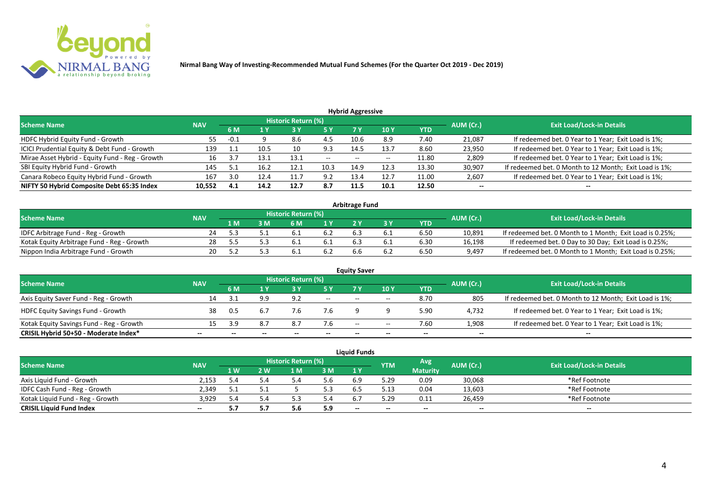

| <b>Hybrid Aggressive</b>                        |            |      |      |                            |                 |                          |       |       |           |                                                        |  |  |  |
|-------------------------------------------------|------------|------|------|----------------------------|-----------------|--------------------------|-------|-------|-----------|--------------------------------------------------------|--|--|--|
| <b>Scheme Name</b>                              | <b>NAV</b> |      |      | <b>Historic Return (%)</b> |                 |                          |       |       | AUM (Cr.) | <b>Exit Load/Lock-in Details</b>                       |  |  |  |
|                                                 | 6 M<br>1 Y |      | 5 Y  |                            | 10 <sub>1</sub> | YTD                      |       |       |           |                                                        |  |  |  |
| HDFC Hybrid Equity Fund - Growth                | 55         | -0.1 |      | 8.6                        | 4.5             | 10.6                     | 8.9   | 7.40  | 21,087    | If redeemed bet. 0 Year to 1 Year; Exit Load is 1%;    |  |  |  |
| ICICI Prudential Equity & Debt Fund - Growth    | 139        |      | 10.5 |                            | 9.3             | 14.5                     | 13.7  | 8.60  | 23,950    | If redeemed bet. 0 Year to 1 Year; Exit Load is 1%;    |  |  |  |
| Mirae Asset Hybrid - Equity Fund - Reg - Growth | 16         |      | 13.1 | 13.1                       | $- -$           | $\overline{\phantom{a}}$ | $- -$ | 11.80 | 2,809     | If redeemed bet. 0 Year to 1 Year; Exit Load is 1%;    |  |  |  |
| SBI Equity Hybrid Fund - Growth                 | 145        | ς.   | 16.2 | 12.1                       | 10.3            | 14.9                     | 12.3  | 13.30 | 30,907    | If redeemed bet. 0 Month to 12 Month; Exit Load is 1%; |  |  |  |
| Canara Robeco Equity Hybrid Fund - Growth       | 167        | 3.0  | 12.4 | 11.                        | 9.2             | 13.4                     | 12.7  | 11.00 | 2,607     | If redeemed bet. 0 Year to 1 Year; Exit Load is 1%;    |  |  |  |
| NIFTY 50 Hybrid Composite Debt 65:35 Index      | 10,552     | 4.1  | 14.2 | 12.7                       | 8.7             | 11.5                     | 10.1  | 12.50 | $- -$     | $- -$                                                  |  |  |  |

| <b>Arbitrage Fund</b>                      |            |     |   |                            |     |  |  |            |           |                                                          |  |  |  |
|--------------------------------------------|------------|-----|---|----------------------------|-----|--|--|------------|-----------|----------------------------------------------------------|--|--|--|
| <b>Scheme Name</b>                         | <b>NAV</b> |     |   | <b>Historic Return (%)</b> |     |  |  |            | AUM (Cr.) | <b>Exit Load/Lock-in Details</b>                         |  |  |  |
|                                            |            | 1 M | M | ና M                        | 1 V |  |  | <b>YTD</b> |           |                                                          |  |  |  |
| IDFC Arbitrage Fund - Reg - Growth         |            |     |   |                            | 6.2 |  |  | 6.50       | 10,891    | If redeemed bet. 0 Month to 1 Month; Exit Load is 0.25%; |  |  |  |
| Kotak Equity Arbitrage Fund - Reg - Growth | 28         |     |   |                            | 0.1 |  |  | 6.30       | 16,198    | If redeemed bet. 0 Day to 30 Day; Exit Load is 0.25%;    |  |  |  |
| Nippon India Arbitrage Fund - Growth       | 20.        |     |   |                            |     |  |  | 6.50       | 9,497     | If redeemed bet. 0 Month to 1 Month; Exit Load is 0.25%; |  |  |  |

|                                          |            |     |     |                     |                          | <b>Equity Saver</b> |       |            |           |                                                        |
|------------------------------------------|------------|-----|-----|---------------------|--------------------------|---------------------|-------|------------|-----------|--------------------------------------------------------|
| <b>Scheme Name</b>                       | <b>NAV</b> |     |     | Historic Return (%) |                          |                     |       |            | AUM (Cr.) | <b>Exit Load/Lock-in Details</b>                       |
|                                          |            | 6 M |     |                     |                          |                     | 10Y   | <b>YTD</b> |           |                                                        |
| Axis Equity Saver Fund - Reg - Growth    |            |     | 9.9 | 9.2                 | $\overline{\phantom{a}}$ | $- -$               | $-$   | 8.70       | 805       | If redeemed bet. 0 Month to 12 Month; Exit Load is 1%; |
| <b>HDFC Equity Savings Fund - Growth</b> | 38         | 0.5 |     | 7.6                 | 7.6                      |                     |       | 5.90       | 4,732     | If redeemed bet. 0 Year to 1 Year; Exit Load is 1%;    |
| Kotak Equity Savings Fund - Reg - Growth |            |     | 8.7 | 8.7                 | 7.6                      | $ -$                | $- -$ | 7.60       | 1,908     | If redeemed bet. 0 Year to 1 Year; Exit Load is 1%;    |
| CRISIL Hybrid 50+50 - Moderate Index*    | --         |     |     | --                  | --                       | --                  | $- -$ |            | $- -$     | $- -$                                                  |

| <b>Liauid Funds</b>              |            |      |       |                            |     |       |            |                 |           |                                  |  |  |  |
|----------------------------------|------------|------|-------|----------------------------|-----|-------|------------|-----------------|-----------|----------------------------------|--|--|--|
| <b>Scheme Name</b>               | <b>NAV</b> |      |       | <b>Historic Return (%)</b> |     |       | <b>YTM</b> | Avg             | AUM (Cr.) | <b>Exit Load/Lock-in Details</b> |  |  |  |
|                                  |            | 1 W. | 2 W   | . M                        | 3M  | 1Y    |            | <b>Maturity</b> |           |                                  |  |  |  |
| Axis Liquid Fund - Growth        | 2.153      |      |       |                            | 5.6 |       | 5.29       | 0.09            | 30,068    | *Ref Footnote                    |  |  |  |
| IDFC Cash Fund - Reg - Growth    | 2.349      |      | ـ . ـ |                            | 5.3 |       | . 12<br>.  | 0.04            | 13,603    | *Ref Footnote                    |  |  |  |
| Kotak Liquid Fund - Reg - Growth | 3.929      |      | 4.د   |                            | 5.4 |       | 5.29       | 0.11            | 26,459    | *Ref Footnote                    |  |  |  |
| <b>CRISIL Liquid Fund Index</b>  | $- -$      |      | J.,   |                            | 5.9 | $- -$ |            | $- -$           | $- -$     | $- -$                            |  |  |  |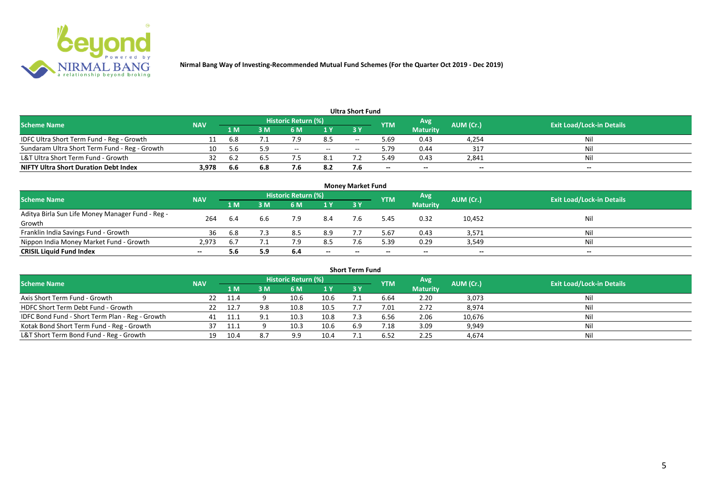

|       |            |     |     |      |                            |       | Avg                            |       | <b>Exit Load/Lock-in Details</b> |
|-------|------------|-----|-----|------|----------------------------|-------|--------------------------------|-------|----------------------------------|
|       | 1 M        | I M | 6 M | 1 Y  | 73 Y                       |       | <b>Maturity</b>                |       |                                  |
|       | 6.8        |     | 7.9 | 8.5  | $- -$                      | 5.69  | 0.43                           | 4,254 | Nil                              |
| 10    | -5.6       | 5.9 | $-$ | $ -$ | $\overline{\phantom{a}}$   | 5.79  | 0.44                           | 317   | Nil                              |
|       | 6.2        |     |     | 8.1  |                            | 49.د  | 0.43                           | 2,841 | Nil                              |
| 3,978 | 6.6        | 6.8 |     | 8.2  |                            | $- -$ | $-$                            | $-$   | $- -$                            |
|       | <b>NAV</b> |     |     |      | <b>Historic Return (%)</b> |       | Ultra Short Fund<br><b>YTM</b> |       | AUM (Cr.)                        |

| <b>Money Market Fund</b>                                   |            |     |     |                     |           |           |             |                 |           |                                  |  |  |  |
|------------------------------------------------------------|------------|-----|-----|---------------------|-----------|-----------|-------------|-----------------|-----------|----------------------------------|--|--|--|
| <b>Scheme Name</b>                                         | <b>NAV</b> |     |     | Historic Return (%) |           |           | <b>IYTM</b> | Avg             | AUM (Cr.) | <b>Exit Load/Lock-in Details</b> |  |  |  |
|                                                            |            | 1 M | I M | 6 M                 | <b>1Y</b> | <b>3Y</b> |             | <b>Maturity</b> |           |                                  |  |  |  |
| Aditya Birla Sun Life Money Manager Fund - Reg -<br>Growth | 264        | 6.4 | 6.6 | 7.9                 | 8.4       |           | 5.45        | 0.32            | 10,452    | Nil                              |  |  |  |
| Franklin India Savings Fund - Growth                       | 36         | 6.8 |     | 8.5                 | 8.9       |           | 5.67        | 0.43            | 3,571     | Nil                              |  |  |  |
| Nippon India Money Market Fund - Growth                    | 2,973      |     |     |                     | 8.5       |           | 5.39        | 0.29            | 3,549     | Nil                              |  |  |  |
| <b>CRISIL Liquid Fund Index</b>                            | $- -$      | 5.6 | 5.9 | 6.4                 | $- -$     | $- -$     | $- -$       | $- -$           | $- -$     | $- -$                            |  |  |  |

| <b>Short Term Fund</b>                          |            |        |     |                            |      |           |            |                 |           |                                  |  |  |  |
|-------------------------------------------------|------------|--------|-----|----------------------------|------|-----------|------------|-----------------|-----------|----------------------------------|--|--|--|
| <b>Scheme Name</b>                              | <b>NAV</b> |        |     | <b>Historic Return (%)</b> |      |           | <b>YTM</b> | Avg             | AUM (Cr.) | <b>Exit Load/Lock-in Details</b> |  |  |  |
|                                                 |            | 1 M    | 3 M | 6 M                        | 1Y   | <b>3Y</b> |            | <b>Maturity</b> |           |                                  |  |  |  |
| Axis Short Term Fund - Growth                   | 22         | - 11.4 |     | 10.6                       | 10.6 |           | 6.64       | 2.20            | 3,073     | Nil                              |  |  |  |
| HDFC Short Term Debt Fund - Growth              |            | 12.7   | 9.8 | 10.8                       | 10.5 |           | 7.01       | 2.72            | 8,974     | Nil                              |  |  |  |
| IDFC Bond Fund - Short Term Plan - Reg - Growth | 41         |        |     | 10.3                       | 10.8 |           | 6.56       | 2.06            | 10,676    | Nil                              |  |  |  |
| Kotak Bond Short Term Fund - Reg - Growth       |            |        |     | 10.3                       | 10.6 | 6.9       | 7.18       | 3.09            | 9,949     | Nil                              |  |  |  |
| L&T Short Term Bond Fund - Reg - Growth         | 19         | 10.4   |     | 9.9                        | 10.4 |           | 6.52       | 2.25            | 4,674     | Nil                              |  |  |  |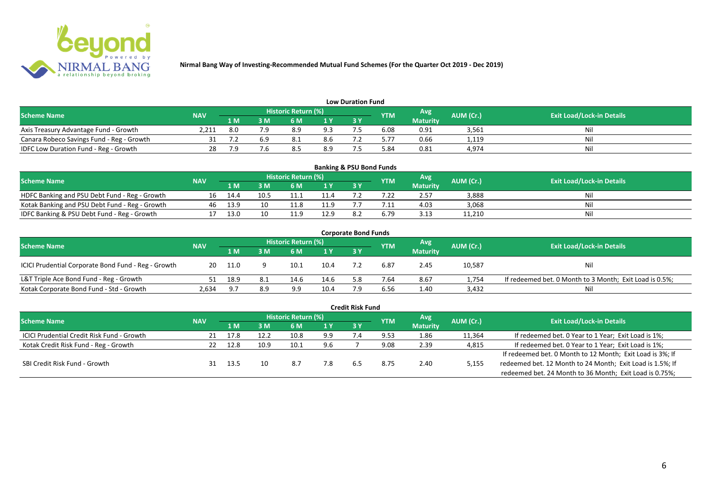

| <b>Low Duration Fund</b>                     |            |     |    |                            |                |    |            |                 |           |                                  |  |  |  |
|----------------------------------------------|------------|-----|----|----------------------------|----------------|----|------------|-----------------|-----------|----------------------------------|--|--|--|
| <b>Scheme Name</b>                           | <b>NAV</b> |     |    | <b>Historic Return (%)</b> |                |    | <b>YTM</b> | Avg             | AUM (Cr.) | <b>Exit Load/Lock-in Details</b> |  |  |  |
|                                              |            | 1 M | ΒM |                            | 1 <sub>Y</sub> | 3Y |            | <b>Maturity</b> |           |                                  |  |  |  |
| Axis Treasury Advantage Fund - Growth        | 2.211      | 8.0 |    | 8.9                        | 9.3            |    | 6.08       | 0.91            | 3,561     | Nil                              |  |  |  |
| Canara Robeco Savings Fund - Reg - Growth    |            |     |    |                            | 8.6            |    |            | 0.66            | 1,119     | Nil                              |  |  |  |
| <b>IDFC Low Duration Fund - Reg - Growth</b> |            | 7.9 |    |                            | 8.9            |    | 5.84       | 0.81            | 4,974     | Nil                              |  |  |  |

| <b>Banking &amp; PSU Bond Funds</b>            |            |      |      |                            |      |           |            |                 |           |                                  |  |  |  |
|------------------------------------------------|------------|------|------|----------------------------|------|-----------|------------|-----------------|-----------|----------------------------------|--|--|--|
| <b>Scheme Name</b>                             | <b>NAV</b> |      |      | <b>Historic Return (%)</b> |      |           | <b>YTM</b> | Avg             | AUM (Cr.) | <b>Exit Load/Lock-in Details</b> |  |  |  |
|                                                |            | 1 M  |      | 6 M                        |      | <b>3Y</b> |            | <b>Maturity</b> |           |                                  |  |  |  |
| HDFC Banking and PSU Debt Fund - Reg - Growth  | 16         | 14.4 | 10.5 |                            | 11.4 |           |            | 2.57            | 3,888     | Nil                              |  |  |  |
| Kotak Banking and PSU Debt Fund - Reg - Growth | 46         | 13.9 | 10   | 11.8                       | 11.9 |           |            | 4.03            | 3,068     | Nil                              |  |  |  |
| IDFC Banking & PSU Debt Fund - Reg - Growth    |            | 13.0 | 10   |                            | 12.9 |           | 6.79       | 3.13            | 11,210    | Nil                              |  |  |  |

| <b>Corporate Bond Funds</b>                         |            |       |     |                            |      |     |            |                 |           |                                                         |  |  |
|-----------------------------------------------------|------------|-------|-----|----------------------------|------|-----|------------|-----------------|-----------|---------------------------------------------------------|--|--|
| <b>Scheme Name</b>                                  | <b>NAV</b> |       |     | <b>Historic Return (%)</b> |      |     | <b>YTM</b> | Avg             | AUM (Cr.) | <b>Exit Load/Lock-in Details</b>                        |  |  |
|                                                     |            | 1 M   | : M | 6 M                        | 1Y   | 3 Y |            | <b>Maturity</b> |           |                                                         |  |  |
| ICICI Prudential Corporate Bond Fund - Reg - Growth | 20         | 11.0  |     | 10.1                       | 10.4 |     | 6.87       | 2.45            | 10,587    | <b>Nil</b>                                              |  |  |
| L&T Triple Ace Bond Fund - Reg - Growth             |            | 18.9  | 8.1 | 14.6                       | 14.6 | 58  | 7.64       | 8.67            | 1,754     | If redeemed bet. 0 Month to 3 Month; Exit Load is 0.5%; |  |  |
| Kotak Corporate Bond Fund - Std - Growth            | 2,634      | - Q 7 | 8.9 | 9.9                        | 10.4 |     | 6.56       | 1.40            | 3,432     | Nil                                                     |  |  |

|                                                   |            |      |      |                            |      | <b>Credit Risk Fund</b> |            |                 |           |                                                           |
|---------------------------------------------------|------------|------|------|----------------------------|------|-------------------------|------------|-----------------|-----------|-----------------------------------------------------------|
| <b>Scheme Name</b>                                | <b>NAV</b> |      |      | <b>Historic Return (%)</b> |      |                         | <b>YTM</b> | Avg             | AUM (Cr.) | <b>Exit Load/Lock-in Details</b>                          |
|                                                   |            | 1 M. | 3 M  | 6 M                        | 71 Y | 3 Y                     |            | <b>Maturity</b> |           |                                                           |
| <b>ICICI Prudential Credit Risk Fund - Growth</b> | 21         | 17.8 | 12.2 | 10.8                       | 9.9  |                         | 9.53       | 1.86            | 11,364    | If redeemed bet. 0 Year to 1 Year; Exit Load is 1%;       |
| Kotak Credit Risk Fund - Reg - Growth             |            | 12.8 | 10.9 | 10.1                       | 9.6  |                         | 9.08       | 2.39            | 4,815     | If redeemed bet. 0 Year to 1 Year; Exit Load is 1%;       |
|                                                   |            |      |      |                            |      |                         |            |                 |           | If redeemed bet. 0 Month to 12 Month; Exit Load is 3%; If |
| SBI Credit Risk Fund - Growth                     |            | 13.5 | 10   | 8.7                        | 7.8  | b.5                     | 8.75       | 2.40            | 5,155     | redeemed bet. 12 Month to 24 Month; Exit Load is 1.5%; If |
|                                                   |            |      |      |                            |      |                         |            |                 |           | redeemed bet. 24 Month to 36 Month; Exit Load is 0.75%;   |